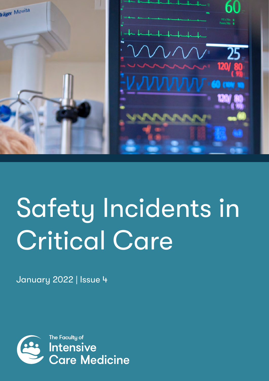

# Safety Incidents in Critical Care

January 2022 | Issue 4

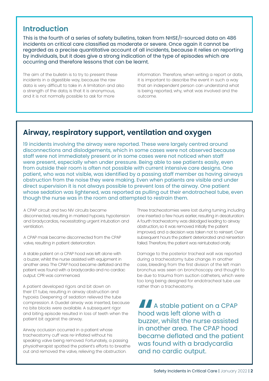## **Introduction**

This is the fourth of a series of safety bulletins, taken from NHSE/I-sourced data on 486 incidents on critical care classified as moderate or severe. Once again it cannot be regarded as a precise quantitative account of all incidents, because it relies on reporting by individuals, but it does give a strong indication of the type of episodes which are occurring and therefore lessons that can be learnt.

The aim of the bulletin is to try to present these incidents in a digestible way, because the raw data is very difficult to take in. A limitation and also a strength of the data, is that it is anonymous, and it is not normally possible to ask for more

information. Therefore, when writing a report or datix, it is important to describe the event in such a way that an independent person can understand what is being reported, why, what was involved and the outcome.

# **Airway, respiratory support, ventilation and oxygen**

19 incidents involving the airway were reported. These were largely centred around disconnections and dislodgements, which in some cases were not observed because staff were not immediately present or in some cases were not noticed when staff were present, especially when under pressure. Being able to see patients easily, even from outside their room is often not possible with current intensive care designs. One patient, who was not visible, was identified by a passing staff member as having airways obstruction from the noise they were making. Even when patients are visible and under direct supervision it is not always possible to prevent loss of the airway. One patient whose sedation was lightened, was reported as pulling out their endotracheal tube, even though the nurse was in the room and attempted to restrain them.

A CPAP circuit and two NIV circuits became disconnected, resulting in marked hypoxia, hypotension and bradycardias, necessitating urgent intubation and ventilation.

A CPAP mask became disconnected from the CPAP valve, resulting in patient deterioration.

A stable patient on a CPAP hood was left alone with a buzzer, whilst the nurse assisted with equipment in another area. The CPAP hood became deflated and the patient was found with a bradycardia and no cardiac output. CPR was commenced.

A patient developed rigors and bit down on their ET tube, resulting in airway obstruction and hypoxia. Deepening of sedation relieved the tube compression. A Guedel airway was inserted, because no bite blocks were available. A subsequent rigor and biting episode resulted in loss of teeth when the patient bit against the airway.

Airway occlusion occurred in a patient whose tracheostomy cuff was re-inflated without his speaking valve being removed. Fortunately, a passing physiotherapist spotted the patient's efforts to breathe out and removed the valve, relieving the obstruction.

Three tracheostomies were lost during turning, including one inserted a few hours earlier, resulting in desaturation. A fourth tracheostomy was dislodged leading to airway obstruction, so it was removed. Initially the patient improved, and a decision was taken not to reinsert. Over subsequent hours the patient deteriorated and reinsertion failed. Therefore, the patient was reintubated orally.

Damage to the posterior tracheal wall was reported during a tracheostomy tube change. In another case, bleeding from the first division of the left main bronchus was seen on bronchoscopy and thought to be due to trauma from suction catheters, which were too long being designed for endotracheal tube use rather than a tracheostomy.

**"**A stable patient on a CPAP hood was left alone with a buzzer, whilst the nurse assisted in another area. The CPAP hood became deflated and the patient was found with a bradycardia and no cardic output.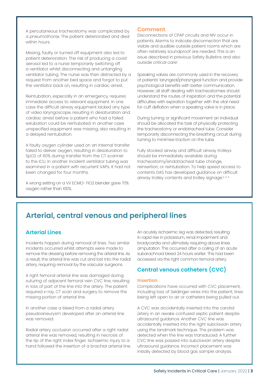A percutaneous tracheostomy was complicated by a pneumothorax. The patient deteriorated and died within hours.

Missing, faulty or turned off equipment also led to patient deterioration. The risk of producing a covid aerosol led to a nurse temporarily switching off a ventilator whilst disconnecting and untangling ventilator tubing. The nurse was then distracted by a request from another bed space and forgot to put the ventilator back on, resulting in cardiac arrest.

Reintubation, especially in an emergency, requires immediate access to relevant equipment. In one case the difficult airway equipment lacked any type of video laryngoscope, resulting in desaturation and cardiac arrest before a patient who had a failed extubation could be reintubated. In another case unspecified equipment was missing, also resulting in a delayed reintubation.

A faulty oxygen cylinder used on an internal transfer failed to deliver oxygen, resulting in desaturation to SpO2 of 60% during transfer from the CT scanner to the ICU. In another incident ventilator tubing was examined in a patient with recurrent VAPs. It had not been changed for four months.

A wrong setting on a VV ECMO- FiO2 blender gave 70% oxygen rather than 100%.

#### **Comment**

Disconnections of CPAP circuits and NIV occur in patients. Alarms to indicate disconnection that are visible and audible outside patient rooms which are often relatively soundproof are needed. This is an issue described in previous Safety Bulletins and also outside critical care1 .

Speaking valves are commonly used in the recovery of patients' laryngeal/pharyngeal function and provide psychological benefits with better communication. However, all staff dealing with tracheostomies should understand the routes of inspiration and the potential difficulties with expiration together with the vital need for cuff deflation when a speaking valve is in place.

During turning or significant movement an individual should be allocated the task of physically protecting the tracheostomy or endotracheal tube. Consider temporarily disconnecting the breathing circuit during turning to minimise traction on the tube.

Fully stocked airway and difficult airway trolleys should be immediately available during tracheostomy/endotracheal tube change, reinsertion, or reintubation. To help speed access to contents DAS has developed guidance on difficult airway trolley contents and trolley signage.<sup>2, 3,4</sup>

## **Arterial, central venous and peripheral lines**

## **Arterial Lines**

Incidents happen during removal of lines. Two similar incidents occurred whilst attempts were made to remove the dressing before removing the arterial line. As a result, the arterial line was cut and lost into the radial artery, requiring removal by the vascular surgeons.

A right femoral arterial line was damaged during suturing of adjacent femoral vein CVC line, resulting in loss of part of the line into the artery. The patient required x-ray, CT scan and surgery to remove the missing portion of arterial line.

In another case a bleed from a radial artery pseudoaneurysm developed after an arterial line was removed.

Radial artery occlusion occurred after a right radial arterial line was removed, resulting in necrosis of the tip of the right index finger. Ischaemic injury to a hand followed the insertion of a brachial arterial line. An acutely ischaemic leg was detected, resulting in rapid rise in potassium, renal impairment and bradycardia and ultimately requiring above knee amputation. This occurred after a coiling of an acute subarachnoid bleed 24 hours earlier. This had been accessed via the right common femoral artery.

## **Central venous catheters (CVC)**

#### **Insertion**

Complications have occurred with CVC placement, including loss of Seldinger wires into the patient, lines being left open to air or catheters being pulled out.

A CVC was accidentally inserted into the carotid artery in an awake confused septic patient despite ultrasound guidance. Another CVC line was accidentally inserted into the right subclavian artery using the landmark technique. The problem was detected when the line was transduced. A further CVC line was passed into subclavian artery despite ultrasound guidance. Incorrect placement was initially detected by blood gas sample analysis.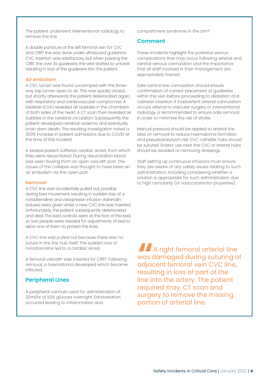The patient underwent interventional radiology to remove the line.

A double puncture of the left femoral vein for CVC and CRRT line was done under ultrasound guidance. CVC insertion was satisfactory, but when passing the CRRT line over its guidewire, the wire started to unravel resulting in loss of the guidewire into the patient.

#### **Air embolism**

A CVC lumen was found unclamped with the threeway tap lumen open to air. This was quickly closed, but shortly afterwards the patient deteriorated again, with respiratory and cardiovascular compromise. A bedside ECHO revealed air bubbles in the chambers of both sides of the heart. A CT scan then revealed air bubbles in the cerebral circulation. Subsequently the patient developed cerebral oedema and eventually brain stem death. The resulting investigation noted a 300% increase in patient admissions due to COVID at the time of this incident.

A seated patient suffered cardiac arrest, from which they were resuscitated. During resuscitation blood was seen flowing from an open vascath port. The cause of the collapse was thought to have been an air embolism via the open port.

#### **Removal**

A CVC line was accidentally pulled out, possibly during bed movement, resulting in sudden loss of a noradrenaline and vasopressin infusion. Adrenalin boluses were given whilst a new CVC line was inserted. Unfortunately, the patient subsequently deteriorated and died. The bed controls were at the foot of the bed, so two people were needed for adjustments of bed to allow one of them to protect the lines.

A CVC line was pulled out because there was no suture in the line hub itself. The sudden loss of noradrenaline led to a cardiac arrest.

A femoral vascath was inserted for CRRT. Following removal, a haematoma developed which became infected.

#### **Peripheral Lines**

A peripheral cannula used for administration of 20ml/hr of 50% glucose overnight. Extravasation occurred leading to inflammation and

compartment syndrome in the arm5.

#### **Comment**

These incidents highlight the potential serious complications that may occur following arterial and central venous cannulation and the importance that all staff involved in their management are appropriately trained.

Safe central line cannulation should ensure confirmation of correct placement of guidewire within the vein before proceeding to dilatation and catheter insertion. If inadvertent arterial cannulation occurs referral to vascular surgery or interventional radiology is recommended to ensure safe removal in order to minimise the risk of stroke.

Manual pressure should be applied to arterial line sites on removal to reduce haematoma formation and pseudoaneurysm risk. CVC catheter hubs should be sutured. Scissor use near line CVC or arterial hubs should be avoided on removing dressings.

Staff setting up continuous infusions must ensure they are aware of any safety issues relating to such administration, including considering whether a solution is appropriate for such administration due to high osmolarity (or vasoconstrictor properties).

**A** A right femoral arterial line<br>was damaged during suturing o<br>adjacent femoral vein CVC line,<br>resulting in loss of part of the was damaged during suturing of adjacent femoral vein CVC line, resulting in loss of part of the line into the artery. The patient required Xray, CT scan and surgery to remove the missing portion of arterial line.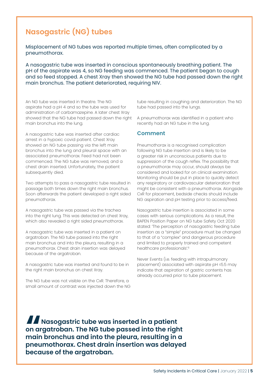# **Nasogastric (NG) tubes**

Misplacement of NG tubes was reported multiple times, often complicated by a pneumothorax.

A nasogastric tube was inserted in conscious spontaneously breathing patient. The pH of the aspirate was 4, so NG feeding was commenced. The patient began to cough and so feed stopped. A chest Xray then showed the NG tube had passed down the right main bronchus. The patient deteriorated, requiring NIV.

An NG tube was inserted in theatre. The NG aspirate had a pH 4 and so the tube was used for administration of carbamazepine. A later chest Xray showed that the NG tube had passed down the right main bronchus into the lung.

A nasogastric tube was inserted after cardiac arrest in a hypoxic covid patient. Chest Xray showed an NG tube passing via the left main bronchus into the lung and pleural space with an associated pneumothorax. Feed had not been commenced. The NG tube was removed, and a chest drain inserted. Unfortunately, the patient subsequently died.

Two attempts to pass a nasogastric tube resulted in passage both times down the right main bronchus. Soon afterwards the patient developed a right sided pneumothorax.

A nasogastric tube was passed via the trachea into the right lung. This was detected on chest Xray, which also revealed a right sided pneumothorax.

A nasogastric tube was inserted in a patient on argatroban. The NG tube passed into the right main bronchus and into the pleura, resulting in a pneumothorax. Chest drain insertion was delayed because of the argatroban.

A nasogastric tube was inserted and found to be in the right main bronchus on chest Xray.

The NG tube was not visible on the CxR. Therefore, a small amount of contrast was injected down the NG tube resulting in coughing and deterioration. The NG tube had passed into the lungs.

A pneumothorax was identified in a patient who recently had an NG tube in the lung.

#### **Comment**

Pneumothorax is a recognised complication following NG tube insertion and is likely to be a greater risk in unconscious patients due to suppression of the cough reflex. The possibility that a pneumothorax may occur, should always be considered and looked for on clinical examination. Monitoring should be put in place to quickly detect any respiratory or cardiovascular deterioration that might be consistent with a pneumothorax. Alongside CxR for placement, bedside checks should include NG aspiration and pH testing prior to access/feed.

Nasogastric tube insertion is associated in some cases with serious complications. As a result, the BAPEN Position Paper on NG tube Safety Oct 2020 stated: 'The perception of nasogastric feeding tube insertion as a "simple" procedure must be changed to that of a "complex" and dangerous procedure and limited to properly trained and competent healthcare professionals'.6

Never Events (i.e. feeding with intrapulmonary placement) associated with aspirate pH ≤5.5 may indicate that aspiration of gastric contents has already occurred prior to tube placement.

**"Nasogastric tube was inserted in a patient on argatroban. The NG tube passed into the right main bronchus and into the pleura, resulting in a pneumothorax. Chest drain insertion was delayed because of the argatroban.**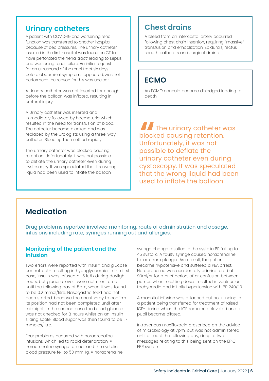## **Urinary catheters**

A patient with COVID-19 and worsening renal function was transferred to another hospital because of bed pressures. The urinary catheter inserted in the first hospital was found on CT to have perforated the "renal tract" leading to sepsis and worsening renal failure. An initial request for an ultrasound of the renal tract six days before abdominal symptoms appeared, was not performed- the reason for this was unclear.

A Urinary catheter was not inserted far enough before the balloon was inflated, resulting in urethral injury.

A Urinary catheter was inserted and immediately followed by haematuria which resulted in the need for transfusion of blood. The catheter became blocked and was replaced by the urologists using a three-way catheter. Bleeding then settled rapidly.

The urinary catheter was blocked causing retention. Unfortunately, it was not possible to deflate the urinary catheter even during cystoscopy. It was speculated that the wrong liquid had been used to inflate the balloon.

# **Chest drains**

A bleed from an intercostal artery occurred following chest drain insertion, requiring "massive" transfusion and embolization. Epidurals, rectus sheath catheters and surgical drains.

## **ECMO**

An ECMO cannula became dislodged leading to death.

**THE UNITE 2018 THE UP THE UP THE UP THE UP THE UP THE UP THE UP THE UP THE UP THE UP THE UP THE UP THE UP THE UP THE UP THE UP THE UP THE UP THE UP THE UP THE UP THE UP THE UP THE UP THE UP THE UP THE UP THE UP THE UP THE** blocked causing retention. Unfortunately, it was not possible to deflate the urinary catheter even during cystoscopy. It was speculated that the wrong liquid had been used to inflate the balloon.

## **Medication**

Drug problems reported involved monitoring, route of administration and dosage, infusions including rate, syringes running out and allergies.

## **Monitoring of the patient and the infusion**

Two errors were reported with insulin and glucose control, both resulting in hypoglycaemia. In the first case, insulin was infused at 5 iu/h during daylight hours, but glucose levels were not monitored until the following day at 5am, when it was found to be 0.2 mmol/litre. Nasogastric feed had not been started, because the chest x-ray to confirm its position had not been completed until after midnight. In the second case the blood glucose was not checked for 8 hours whilst on an insulin sliding scale. Blood sugar was then found to be 1.7 mmoles/litre.

Four problems occurred with noradrenaline infusions, which led to rapid deterioration: A noradrenaline syringe ran out and the systolic blood pressure fell to 50 mmHg. A noradrenaline

syringe change resulted in the systolic BP falling to 45 systolic. A faulty syringe caused noradrenaline to leak from plunger. As a result, the patient became hypotensive and suffered a PEA arrest. Noradrenaline was accidentally administered at 90ml/hr for a brief period, after confusion between pumps when resetting doses resulted in ventricular tachycardia and initially hypertension with BP 240/110.

A mannitol infusion was attached but not running in a patient being transferred for treatment of raised ICP- during which the ICP remained elevated and a pupil became dilated.

Intravenous moxifloxacin prescribed on the advice of microbiology at 7pm, but was not administered until at least the following day, despite two messages relating to this being sent on the EPIC EPR system.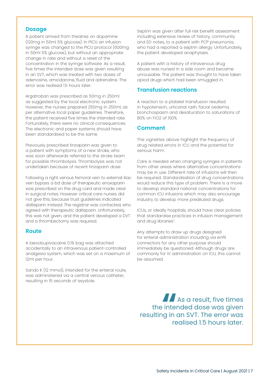#### **Dosage**

A patient arrived from theatres on dopamine (120mg in 50ml 5% glucose). In PICU an infusion syringe was changed to the PICU protocol (600mg in 50ml 5% glucose), but without an appropriate change in rate and without a reset of the concentration in the syringe software. As a result, five times the intended dose was given resulting in an SVT, which was treated with two doses of adenosine, amiodarone, fluid and adrenaline. The error was realised 1.5 hours later.

Argatroban was prescribed as 50mg in 250ml as suggested by the local electronic system. However, the nurses prepared 250mg in 250ml, as per alternative local paper guidelines. Therefore, the patient received five times the intended rate. Fortunately, there were no clinical consequences. The electronic and paper systems should have been standardised to be the same.

Previously prescribed tinzaparin was given to a patient with symptoms of a new stroke, who was soon afterwards referred to the stroke team for possible thrombolysis. Thrombolysis was not undertaken because of recent tinzaparin dose.

Following a right venous femoral vein to external iliac vein bypass a bd dose of therapeutic enoxaparin was prescribed on the drug card and made clear in surgical notes. However critical care nurses did not give this, because trust guidelines indicated dalteparin instead. The registrar was contacted, who agreed with therapeutic dalteparin. Unfortunately, this was not given, and the patient developed a DVT and a thrombectomy was required.

#### **Route**

A laevobupivacaine 0.1% bag was attached accidentally to an intravenous patient-controlled analgesia system, which was set on a maximum of 12ml per hour.

Sando K (12 mmol), intended for the enteral route, was administered via a central venous catheter, resulting in 15 seconds of asystole.

Septrin was given after full risk benefit assessment including extensive review of history, community and ED notes, to a patient with PCP pneumonia, who had a reported a septrin allergy. Unfortunately, the patient developed anaphylaxis.

A patient with a history of intravenous drug abuse was nursed in a side room and became unrousable. The patient was thought to have taken opiod drugs which had been smuggled in.

#### **Transfusion reactions**

A reaction to a platelet transfusion resulted in hypotension, urticarial rash, facial oedema, bronchospasm and desaturation to saturations of 80% on FiO2 of 100%.

### **Comment**

The vignettes above highlight the frequency of drug related errors in ICU and the potential for serious harm.

Care is needed when changing syringes in patients from other areas where alternative concentrations may be in use. Different rate of infusions will then be required. Standardisation of drug concentrations would reduce this type of problem. There is a move to develop standard national concentrations for common ICU infusions which may also encourage industry to develop more prediluted drugs.

ICUs, or ideally hospitals, should have clear policies that standardise practices in infusion management and drug libraries<sup>7</sup>. .

Any attempts to draw up drugs designed for enteral administration including via enfit connectors for any other purpose should immediately be questioned. Although drugs are commonly for IV administration on ICU, this cannot be assumed.

**A** As a result, five times the intended dose was given resulting in an SVT. The error was realised 1.5 hours later.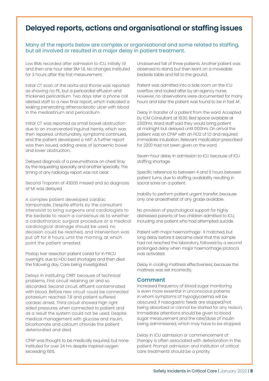## **Delayed reports, actions and organisational or staffing issues**

#### Many of the reports below are complex or organisational and some related to staffing, but all involved or resulted in a major delay in patient treatment.

Low BMs recorded after admission to ICU. Initially 1.9 and then one hour later BM-1.8. No changes instituted for 3 hours after the first measurement.

Initial CT scan of the aorta and thorax was reported as showing no PE, but a pericardial effusion and thickened pericardium. Two days later a phone call alerted staff to a new final report, which indicated a leaking penetrating atherosclerotic ulcer with blood in the mediastinum and pericardium.

Initial CT was reported as small bowel obstruction due to an incarcerated inguinal hernia, which was then repaired. Unfortunately, symptoms continued, and the patient developed a HAP. A further report was then issued, adding areas of ischaemic bowel and lower obstruction.

Delayed diagnosis of a pneumothorax on chest Xray by the requesting specialty and another specialty. The timing of any radiology report was not clear.

Second Troponin of 43000 missed and so diagnosis of MI was delayed.

A complex patient developed cardiac tamponade. Despite efforts by the consultant intensivist to bring surgeons and cardiologists to the bedside to reach a consensus as to whether a cardiothoracic surgical procedure or a medical cardiological drainage should be used, no decision could be reached, and intervention was put off for 8 hours, until the morning, at which point the patient arrested.

Postop liver resection patient cared for in PACU overnight due to HDU bed shortages and then died the following day. Care being investigated.

Delays in instituting CRRT because of technical problems. First circuit retaining air and so discarded. Second circuit, effluent contaminated with blood. Before new circuit could be connected potassium reached 7.8 and patient suffered cardiac arrest. Third circuit showed high right sided pressures when connected to patient and as a result the system could not be used. Despite medical management with glucose and insulin, bicarbonate and calcium chloride the patient deteriorated and died.

CPAP was thought to be medically required, but none instituted for over 24 hrs despite inspired oxygen exceeding 65%.

Unobserved fall of three patients. Another patient was observed to stand, but then leant on a moveable bedside table and fell to the ground.

Patient was admitted into a side room on the ICU overflow and looked after by an agency nurse. However, no observations were documented for many hours and later the patient was found to be in fast AF.

Delay in transfer of a patient from the ward. Accepted by ICM Consultant at 19.30. Bed space available at 2300hrs. Ward staff said they would bring patient at midnight but delayed until 0100hrs. On arrival the patient was on CPAP with an FiO2 of 1.0 and required immediate intubation. Relevant medication prescribed for 2200 had not been given on the ward.

Seven-hour delay in admission to ICU because of ICU staffing shortage.

Specific reference to between 4 and 6 hours between patient turns, due to staffing availability resulting in sacral sores on a patient.

Inability to perform patient urgent transfer, because only one anaesthetist of any grade available.

No provision of psychological support for highly distressed parents of two children admitted to ICU, including one patient who had attempted suicide.

Patient with major haemorrhage- X matched, but long delay before it became clear that this sample had not reached the laboratory, followed by a second prolonged delay when major haemorrhage protocol was activated.

Delay in cooling mattress effectiveness, because the mattress was set incorrectly.

#### **Comment**

Increased frequency of blood sugar monitoring is even more essential in unconscious patients in whom symptoms of hypoglycaemia will be obscured. If nasogastric feeds are stopped/not being absorbed or cannot be started for any reason, immediate attentions should be given to blood sugar measurement and the rate/dose of insulin being administered, which may have to be stopped.

Delay in ICU admission or commencement of therapy is often associated with deterioration in the patient. Prompt admission and institution of critical care treatments should be a priority.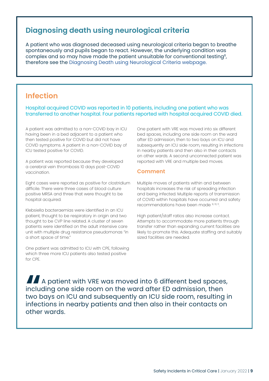## **Diagnosing death using neurological criteria**

A patient who was diagnosed deceased using neurological criteria began to breathe spontaneously and pupils began to react. However, the underlying condition was complex and so may have made the patient unsuitable for conventional testing<sup>8</sup>, therefore see the [Diagnosing Death using Neurological Criteria webpage.](https://www.ficm.ac.uk/index.php/diagnosing-death-using-neurological-criteria)

## **Infection**

Hospital acquired COVID was reported in 10 patients, including one patient who was transferred to another hospital. Four patients reported with hospital acquired COVID died.

A patient was admitted to a non-COVID bay in ICU having been in a bed adjacent to a patient who then tested positive for COVID but did not have COVID symptoms. A patient in a non-COVID bay of ICU tested positive for COVID.

A patient was reported because they developed a cerebral vein thrombosis 10 days post-COVID vaccination.

Eight cases were reported as positive for clostridium difficile. There were three cases of blood culture positive MRSA and three that were thought to be hospital acquired.

Klebsiella bacteraemias were identified in an ICU patient, thought to be respiratory in origin and two thought to be CVP line related. A cluster of seven patients were identified on the adult intensive care unit with multiple drug resistance pseudomonas "in a short space of time."

One patient was admitted to ICU with CPE, following which three more ICU patients also tested positive for CPE.

One patient with VRE was moved into six different bed spaces, including one side room on the ward after ED admission, then to two bays on ICU and subsequently an ICU side room, resulting in infections in nearby patients and then also in their contacts on other wards. A second unconnected patient was reported with VRE and multiple bed moves.

## **Comment**

Multiple moves of patients within and between hospitals increases the risk of spreading infection and being infected. Multiple reports of transmission of COVID within hospitals have occurred and safety recommendations have been made 9, 10, 11

High patient/staff ratios also increase contact. Attempts to accommodate more patients through transfer rather than expanding current facilities are likely to promote this. Adequate staffing and suitably sized facilities are needed.

**"**A patient with VRE was moved into 6 different bed spaces, including one side room on the ward after ED admission, then two bays on ICU and subsequently an ICU side room, resulting in infections in nearby patients and then also in their contacts on other wards.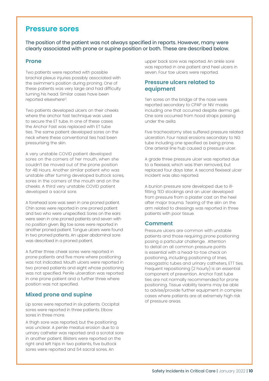## **Pressure sores**

The position of the patient was not always specified in reports. However, many were clearly associated with prone or supine position or both. These are described below.

#### **Prone**

Two patients were reported with possible brachial plexus injuries possibly associated with the swimmer's position during proning. One of these patients was very large and had difficulty turning his head. Similar cases have been reported elsewhere<sup>12</sup>.

Two patients developed ulcers on their cheeks where the anchor fast technique was used to secure the ET tube. In one of these cases the Anchor Fast was replaced with ET tube ties. The same patient developed sores on the neck where these conventional ties had been pressurising the skin.

A very unstable COVID patient developed sores on the corners of her mouth, when she couldn't be moved out of the prone position for 48 Hours. Another similar patient who was unstable after turning developed buttock sores, sores in the corners of the mouth and on the cheeks. A third very unstable COVID patient developed a sacral sore.

A forehead sore was seen in one proned patient. Chin sores were reported in one proned patient and two who were unspecified. Sores on the ears were seen in one proned patients and seven with no position given. Big toe sores were reported in another proned patient. Tongue ulcers were found in two proned patients. An upper abdominal sore was described in a proned patient.

A further three cheek sores were reported in prone patients and five more where positioning was not indicated. Mouth ulcers were reported in two proned patients and eight whose positioning was not specified. Penile ulceration was reported in one prone patient and a further three where position was not specified.

## **Mixed prone and supine**

Lip sores were reported in six patients. Occipital sores were reported in three patients. Elbow sores in three more.

A thigh sore was reported, but the positioning was unclear. A penile meatus erosion due to a urinary catheter was reported and a scrotal sore in another patient. Blisters were reported on the right and left hips in two patients, five buttock sores were reported and 54 sacral sores. An

upper back sore was reported. An ankle sore was reported in one patient and heel ulcers in seven. Four toe ulcers were reported.

## **Pressure ulcers related to equipment**

Ten sores on the bridge of the nose were reported secondary to CPAP or NIV masks including one that occurred despite derma gel. One sore occurred from hood straps passing under the axilla.

Five tracheostomy sites suffered pressure related ulceration. Four nasal erosions secondary to NG tube including one specified as being prone. One arterial line hub caused a pressure ulcer.

A grade three pressure ulcer was reported due to a flexiseal, which was then removed, but replaced four days later. A second flexiseal ulcer incident was also reported.

A bunion pressure sore developed due to illfitting TED stockings and an ulcer developed from pressure from a plaster cast on the heel after major trauma. Tearing of the skin on the arm related to dressings was reported in three patients with poor tissue.

#### **Comment**

Pressure ulcers are common with unstable patients and those requiring prone positioning posing a particular challenge. Attention to detail on all common pressure points is essential with a head-to-toe check on positioning, including positioning of lines, nasogastric tubes and urinary catheters, ETT ties. Frequent repositioning (2 hourly) is an essential component of prevention. Anchor Fast tube ties are not normally recommended for prone positioning. Tissue viability teams may be able to advise/provide further equipment in complex cases where patients are at extremely high risk of pressure areas.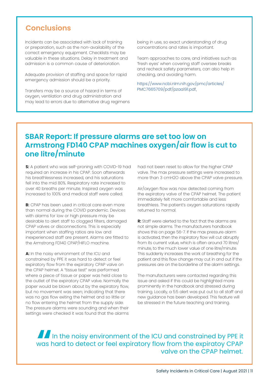## **Conclusions**

Incidents can be associated with lack of training or preparation, such as the non-availability of the correct emergency equipment. Checklists may be valuable in these situations. Delay in treatment and admission is a common cause of deterioration.

Adequate provision of staffing and space for rapid emergency admission should be a priority.

Transfers may be a source of hazard in terms of oxygen, ventilation and drug administration and may lead to errors due to alternative drug regimens

being in use, so exact understanding of drug concentrations and rates is important.

Team approaches to care, and initiatives such as 'fresh eyes' when covering staff oversee breaks and recheck safety parameters, can also help in checking, and avoiding harm.

[https://www.ncbi.nlm.nih.gov/pmc/articles/](https://www.ncbi.nlm.nih.gov/pmc/articles/PMC7665709/pdf/pzaa191.pdf) [PMC7665709/pdf/pzaa191.pdf.](https://www.ncbi.nlm.nih.gov/pmc/articles/PMC7665709/pdf/pzaa191.pdf)

## **SBAR Report: If pressure alarms are set too low on Armstrong FD140 CPAP machines oxygen/air flow is cut to one litre/minute**

**S:** A patient who was self-proning with COVID-19 had required an increase in his CPAP. Soon afterwards his breathlessness increased, and his saturations fell into the mid 80%. Respiratory rate increased to over 40 breaths per minute. Inspired oxygen was increased to 100% and medical staff were called.

**B:** CPAP has been used in critical care even more than normal during the COVID pandemic. Devices with alarms for low or high pressure may be desirable to alert staff to clogged filters, damaged CPAP valves or disconnections. This is especially important when staffing ratios are low and inexperienced staff are present. Alarms are fitted to the Armstrong FD140 CPAP/HIFLO machine.

A: In the noisy environment of the ICU and constrained by PPE it was hard to detect or feel expiratory flow from the expiratory CPAP valve on the CPAP helmet. A "tissue test" was performed where a piece of tissue or paper was held close to the outlet of the expiratory CPAP valve. Normally the paper would be blown about by the expiratory flow, but no movement was seen; indicating that there was no gas flow exiting the helmet and so little or no flow entering the helmet from the supply side. The pressure alarms were sounding and when their settings were checked it was found that the alarms

had not been reset to allow for the higher CPAP valve. The max pressure settings were increased to more than 3 cmH2O above the CPAP valve pressure.

Air/oxygen flow was now detected coming from the expiratory valve of the CPAP helmet. The patient immediately felt more comfortable and less breathless. The patient's oxygen saturations rapidly returned to normal.

**R:** Staff were alerted to the fact that the alarms are not simple alarms. The manufacturers handbook shows this on page 56-7. If the max pressure alarm is activated, then the inspiratory flow will cut abruptly from its current value, which is often around 70 litres/ minute, to the much lower value of one litre/minute. This suddenly increases the work of breathing for the patient and this flow change may cut in and out if the pressures are on the borderline of the alarm settings.

The manufacturers were contacted regarding this issue and asked if this could be highlighted more prominently in the handbook and stressed during training. Locally, a 5:5 alert was put out to all staff and new guidance has been developed. This feature will be stressed in the future teaching and training.

## **"**In the noisy environment of the ICU and constrained by PPE it was hard to detect or feel expiratory flow from the expiratoy CPAP valve on the CPAP helmet.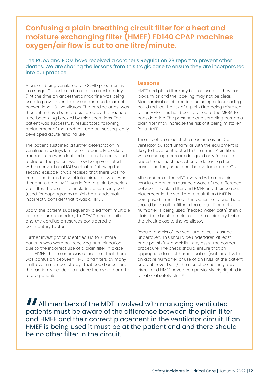## **Confusing a plain breathing circuit filter for a heat and moisture exchanging filter (HMEF) FD140 CPAP machines oxygen/air flow is cut to one litre/minute.**

The RCoA and FICM have received a coroner's Regulation 28 report to prevent other deaths. We are sharing the lessons from this tragic case to ensure they are incorporated into our practice.

A patient being ventilated for COVID pneumonitis in a surge ICU sustained a cardiac arrest on day 7. At the time an anaesthetic machine was being used to provide ventilatory support due to lack of conventional ICU ventilators. The cardiac arrest was thought to have been precipitated by the tracheal tube becoming blocked by thick secretions. The patient was successfully resuscitated following replacement of the tracheal tube but subsequently developed acute renal failure.

The patient sustained a further deterioration in ventilation six days later when a partially blocked tracheal tube was identified at bronchoscopy and replaced. The patient was now being ventilated with a conventional ICU ventilator. Following the second episode, it was realised that there was no humidification in the ventilator circuit as what was thought to be a HMEF was in fact a plain bacterial/ viral filter. The plain filter included a sampling port (used for capnography) which had made staff incorrectly consider that it was a HMEF.

Sadly, the patient subsequently died from multiple organ failure secondary to COVID pneumonitis and the cardiac arrest was considered a contributory factor.

Further investigation identified up to 10 more patients who were not receiving humidification due to the incorrect use of a plain filter in place of a HMEF. The coroner was concerned that there was confusion between HMEF and filters by many staff over a number of days that could occur and that action is needed to reduce the risk of harm to future patients.

#### **Lessons**

HMEF and plain filter may be confused as they can look similar and the labelling may not be clear. Standardisation of labelling including colour coding could reduce the risk of a plain filter being mistaken for an HMEF. This has been referred to the MHRA for consideration. The presence of a sampling port on a plain filter may increase the risk of it being mistaken for a HMEF.

The use of an anaesthetic machine as an ICU ventilator by staff unfamiliar with the equipment is likely to have contributed to the errors. Plain filters with sampling ports are designed only for use in anaesthetic machines when undertaking short cases and they should not be available in an ICU.

All members of the MDT involved with managing ventilated patients must be aware of the difference between the plain filter and HMEF and their correct placement in the ventilator circuit. If an HMEF is being used it must be at the patient end and there should be no other filter in the circuit. If an active humidifier is being used (heated water bath) then a plain filter should be placed in the expiratory limb of the circuit close to the ventilator.

Regular checks of the ventilator circuit must be undertaken. This should be undertaken at least once per shift. A check list may assist the correct procedure. The check should ensure that an appropriate form of humidification (wet circuit with an active humidifier or use of an HMEF at the patient end but never both). The risks of combining a wet circuit and HMEF have been previously highlighted in a national safety alert<sup>13</sup>.

All members of the MDT involved with managing ventilated<br>patients must be aware of the difference between the plain filte<br>and HMEF and their correct placement in the ventilator circuit. If<br>HMEF is being used it must be at patients must be aware of the difference between the plain filter and HMEF and their correct placement in the ventilator circuit. If an HMEF is being used it must be at the patient end and there should be no other filter in the circuit.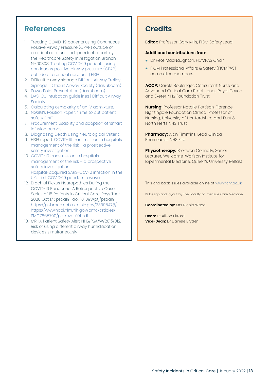## **References**

- 1. Treating COVID-19 patients using Continuous Positive Airway Pressure (CPAP) outside of a critical care unit. Independent report by the Healthcare Safety Investigation Branch NI-00308. [Treating COVID-19 patients using](https://www.hsib.org.uk/investigations-and-reports/treating-covid-19-patients-using-continuous-positive-airway-pressure-cpap/)  [continuous positive airway pressure \(CPAP\)](https://www.hsib.org.uk/investigations-and-reports/treating-covid-19-patients-using-continuous-positive-airway-pressure-cpap/)  [outside of a critical care unit | HSIB](https://www.hsib.org.uk/investigations-and-reports/treating-covid-19-patients-using-continuous-positive-airway-pressure-cpap/)
- 2. Difficult airway signage [Difficult Airway Trolley](https://das.uk.com/content/dat_labels)  [Signage | Difficult Airway Society \(das.uk.com\)](https://das.uk.com/content/dat_labels)
- 3. [PowerPoint Presentation \(das.uk.com\)](https://das.uk.com/files/Difficult_airway_trolley_DAS.pdf)
- 4. [DAS ICU intubation guidelines | Difficult Airway](https://das.uk.com/guidelines/icu_guidelines2017)  **[Society](https://das.uk.com/guidelines/icu_guidelines2017)**
- 5. [Calculating osmolarity of an IV admixture.](https://www.rxkinetics.com/iv_osmolarity.html
)
- 6. [NGSIG's Position Paper: "Time to put patient](https://www.bapen.org.uk/news-and-media/news/825-ngsigs-position-paper-time-to-put-patient-safety-first)  [safety first"](https://www.bapen.org.uk/news-and-media/news/825-ngsigs-position-paper-time-to-put-patient-safety-first)
- 7. [Procurement, usability and adoption of 'smart'](https://www.hsib.org.uk/investigations-and-reports/procurement-usability-and-adoption-of-smart-infusion-pumps/) [infusion pumps](https://www.hsib.org.uk/investigations-and-reports/procurement-usability-and-adoption-of-smart-infusion-pumps/)
- 8. [Diagnosing Death using Neurological Criteria](https://www.ficm.ac.uk/index.php/diagnosing-death-using-neurological-criteria)
- 9. HSIB report. [COVID-19 transmission in hospitals:](https://www.hsib.org.uk/investigations-and-reports/covid-19-transmission-in-hospitals-management-of-the-risk/) [management of the risk - a prospective](https://www.hsib.org.uk/investigations-and-reports/covid-19-transmission-in-hospitals-management-of-the-risk/)  [safety investigation](https://www.hsib.org.uk/investigations-and-reports/covid-19-transmission-in-hospitals-management-of-the-risk/)
- 10. [COVID-19 transmission in hospitals:](https://hsib-kqcco125-media.s3.amazonaws.com/assets/documents/hsib-report-covid-19-transmission-hospitals.pdf)  [management of the risk – a prospective](https://hsib-kqcco125-media.s3.amazonaws.com/assets/documents/hsib-report-covid-19-transmission-hospitals.pdf)  [safety investigation](https://hsib-kqcco125-media.s3.amazonaws.com/assets/documents/hsib-report-covid-19-transmission-hospitals.pdf)
- 11. [Hospital-acquired SARS-CoV-2 infection in the](https://www.thelancet.com/journals/lancet/article/PIIS0140-6736(21)01786-4/fulltext) [UK's first COVID-19 pandemic wave](https://www.thelancet.com/journals/lancet/article/PIIS0140-6736(21)01786-4/fulltext)
- 12. Brachial Plexus Neuropathies During the COVID-19 Pandemic: A Retrospective Case Series of 15 Patients in Critical Care. Phys Ther. 2020 Oct 17 : pzaa191. doi: 10.1093/ptj/pzaa191 [https://pubmed.ncbi.nlm.nih.gov/33395478/,](https://pubmed.ncbi.nlm.nih.gov/33395478/)  [https://www.ncbi.nlm.nih.gov/pmc/articles/](https://www.ncbi.nlm.nih.gov/pmc/articles/PMC7665709/pdf/pzaa191.pdf) [PMC7665709/pdf/pzaa191.pdf.](https://www.ncbi.nlm.nih.gov/pmc/articles/PMC7665709/pdf/pzaa191.pdf)
- 13. MRHA Patient Safety Alert NHS/PSA/W/2015/012. Risk of using different airway humidification devices simultaneously

## **Credits**

**Editor:** Professor Gary Mills, FICM Safety Lead

#### **Additional contributions from:**

- Dr Pete MacNaughton, FICMPAS Chair
- FICM Professional Affairs & Safety (FICMPAS) committee members

**ACCP:** Carole Boulanger, Consultant Nurse and Advanced Critical Care Practitioner, Royal Devon and Exeter NHS Foundation Trust

**Nursing:** Professor Natalie Pattison, Florence Nightingale Foundation Clinical Professor of Nursing, University of Hertfordshire and East & North Herts NHS Trust.

**Pharmacy:** Alan Timmins, Lead Clinical Pharmacist, NHS Fife

**Physiotherapy:** Bronwen Connolly, Senior Lecturer, Wellcome-Wolfson Institute for Experimental Medicine, Queen's University Belfast

This and back issues available online at [www.ficm.ac.uk](http://www.ficm.ac.uk)

© Design and layout by The Faculty of Intensive Care Medicine

**Coordinated by: Mrs Nicola Wood** 

**Dean:** Dr Alison Pittard **Vice-Dean:** Dr Daniele Bryden